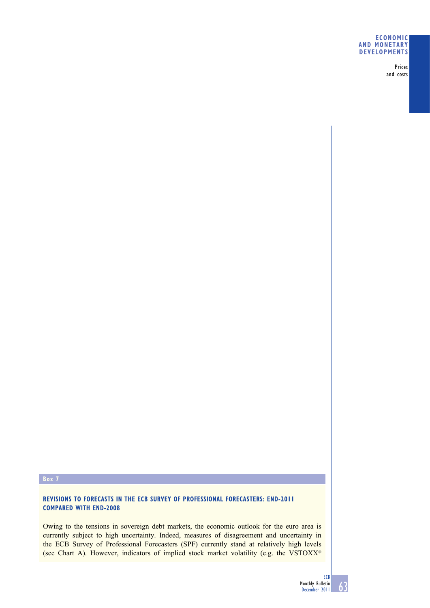## **ECONOMIC AND MONETARY DEVELOPMENTS**

Prices and costs

## **Box 7**

# **REVISIONS TO FORECASTS IN THE ECB SURVEY OF PROFESSIONAL FORECASTERS: END-2011 COMPARED WITH END-2008**

Owing to the tensions in sovereign debt markets, the economic outlook for the euro area is currently subject to high uncertainty. Indeed, measures of disagreement and uncertainty in the ECB Survey of Professional Forecasters (SPF) currently stand at relatively high levels (see Chart A). However, indicators of implied stock market volatility (e.g. the VSTOXX®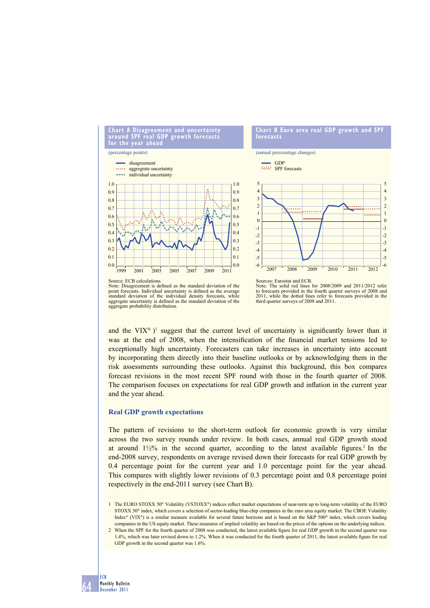

Note: Disagreement is defined as the standard deviation of the point forecasts. Individual uncertainty is defined as the average standard deviation of the individual density forecasts, while aggregate uncertainty is defined as the standard deviation of the aggregate probability distribution.



and the VIX<sup>®</sup>)<sup>1</sup> suggest that the current level of uncertainty is significantly lower than it was at the end of 2008, when the intensification of the financial market tensions led to exceptionally high uncertainty. Forecasters can take increases in uncertainty into account by incorporating them directly into their baseline outlooks or by acknowledging them in the risk assessments surrounding these outlooks. Against this background, this box compares forecast revisions in the most recent SPF round with those in the fourth quarter of 2008. The comparison focuses on expectations for real GDP growth and inflation in the current year and the year ahead.

### **Real GDP growth expectations**

The pattern of revisions to the short-term outlook for economic growth is very similar across the two survey rounds under review. In both cases, annual real GDP growth stood at around  $1\frac{1}{2}\%$  in the second quarter, according to the latest available figures.<sup>2</sup> In the end-2008 survey, respondents on average revised down their forecasts for real GDP growth by 0.4 percentage point for the current year and 1.0 percentage point for the year ahead. This compares with slightly lower revisions of 0.3 percentage point and 0.8 percentage point respectively in the end-2011 survey (see Chart B).

1 The EURO STOXX 50<sup>®</sup> Volatility (VSTOXX<sup>®</sup>) indices reflect market expectations of near-term up to long-term volatility of the EURO STOXX 50<sup>®</sup> index, which covers a selection of sector-leading blue-chip companies in the euro area equity market. The CBOE Volatility Index® (VIX®) is a similar measure available for several future horizons and is based on the S&P 500® index, which covers leading companies in the US equity market. These measures of implied volatility are based on the prices of the options on the underlying indices.

2 When the SPF for the fourth quarter of 2008 was conducted, the latest available figure for real GDP growth in the second quarter was 1.4%, which was later revised down to 1.2%. When it was conducted for the fourth quarter of 2011, the latest available figure for real GDP growth in the second quarter was 1.6%.

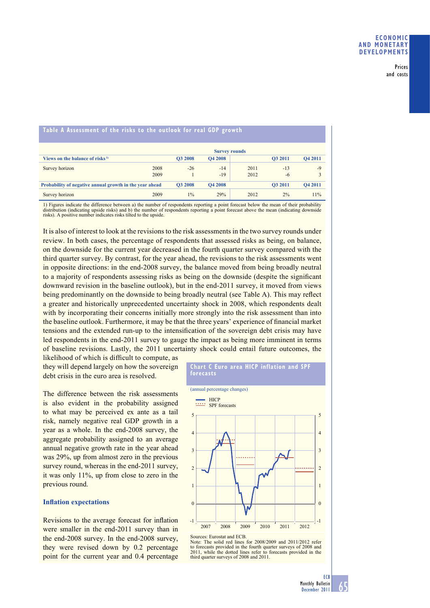#### Prices and costs

| Table A Assessment of the risks to the outlook for real GDP growth |                      |                |                |      |         |                |
|--------------------------------------------------------------------|----------------------|----------------|----------------|------|---------|----------------|
|                                                                    | <b>Survey rounds</b> |                |                |      |         |                |
| Views on the balance of risks <sup>1)</sup>                        |                      | <b>O3 2008</b> | <b>O4 2008</b> |      | O3 2011 | <b>O4 2011</b> |
| Survey horizon                                                     | 2008                 | $-26$          | $-14$          | 2011 | $-13$   | $-9$           |
|                                                                    | 2009                 |                | $-19$          | 2012 | $-6$    | 3              |
| Probability of negative annual growth in the year ahead            |                      | <b>O3 2008</b> | <b>Q4 2008</b> |      | O3 2011 | <b>O4 2011</b> |
| Survey horizon                                                     | 2009                 | $1\%$          | 29%            | 2012 | 2%      | 11%            |

#### **Table A Assessment of the risks to the outlook for real GDP growth**

1) Figures indicate the difference between a) the number of respondents reporting a point forecast below the mean of their probability distribution (indicating upside risks) and b) the number of respondents reporting a point forecast above the mean (indicating downside risks). A positive number indicates risks tilted to the upside.

It is also of interest to look at the revisions to the risk assessments in the two survey rounds under review. In both cases, the percentage of respondents that assessed risks as being, on balance, on the downside for the current year decreased in the fourth quarter survey compared with the third quarter survey. By contrast, for the year ahead, the revisions to the risk assessments went in opposite directions: in the end-2008 survey, the balance moved from being broadly neutral to a majority of respondents assessing risks as being on the downside (despite the significant downward revision in the baseline outlook), but in the end-2011 survey, it moved from views being predominantly on the downside to being broadly neutral (see Table A). This may reflect a greater and historically unprecedented uncertainty shock in 2008, which respondents dealt with by incorporating their concerns initially more strongly into the risk assessment than into the baseline outlook. Furthermore, it may be that the three years' experience of financial market tensions and the extended run-up to the intensification of the sovereign debt crisis may have led respondents in the end-2011 survey to gauge the impact as being more imminent in terms of baseline revisions. Lastly, the 2011 uncertainty shock could entail future outcomes, the

likelihood of which is difficult to compute, as they will depend largely on how the sovereign debt crisis in the euro area is resolved.

The difference between the risk assessments is also evident in the probability assigned to what may be perceived ex ante as a tail risk, namely negative real GDP growth in a year as a whole. In the end-2008 survey, the aggregate probability assigned to an average annual negative growth rate in the year ahead was 29%, up from almost zero in the previous survey round, whereas in the end-2011 survey. it was only 11%, up from close to zero in the previous round.

## **Inflation expectations**

Revisions to the average forecast for inflation were smaller in the end-2011 survey than in the end-2008 survey. In the end-2008 survey, they were revised down by 0.2 percentage point for the current year and 0.4 percentage



**Chart C Euro area HICP inflation and SPF** 

Sources: Eurostat and ECB.

Note: The solid red lines for 2008/2009 and 2011/2012 refer to forecasts provided in the fourth quarter surveys of 2008 and 2011, while the dotted lines refer to forecasts provided in the third quarter surveys of 2008 and 2011.